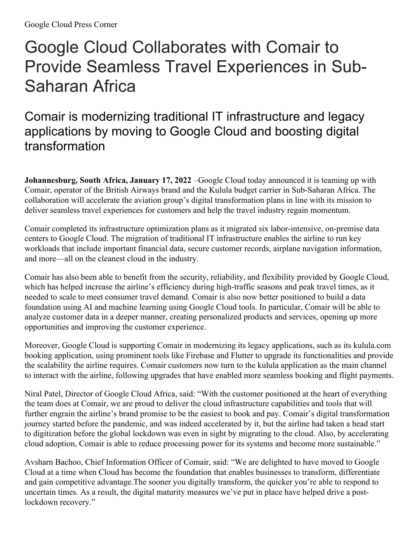## Google Cloud Collaborates with Comair to Provide Seamless Travel Experiences in Sub-Saharan Africa

## Comair is modernizing traditional IT infrastructure and legacy applications by moving to Google Cloud and boosting digital transformation

**Johannesburg, South Africa, January 17, 2022** –Google Cloud today announced it is teaming up with Comair, operator of the British Airways brand and the Kulula budget carrier in Sub-Saharan Africa. The collaboration will accelerate the aviation group's digital transformation plans in line with its mission to deliver seamless travel experiences for customers and help the travel industry regain momentum.

Comair completed its infrastructure optimization plans as it migrated six labor-intensive, on-premise data centers to Google Cloud. The migration of traditional IT infrastructure enables the airline to run key workloads that include important financial data, secure customer records, airplane navigation information, and more—all on the cleanest cloud in the industry.

Comair has also been able to benefit from the security, reliability, and flexibility provided by Google Cloud, which has helped increase the airline's efficiency during high-traffic seasons and peak travel times, as it needed to scale to meet consumer travel demand. Comair is also now better positioned to build a data foundation using AI and machine learning using Google Cloud tools. In particular, Comair will be able to analyze customer data in a deeper manner, creating personalized products and services, opening up more opportunities and improving the customer experience.

Moreover, Google Cloud is supporting Comair in modernizing its legacy applications, such as its kulula.com booking application, using prominent tools like Firebase and Flutter to upgrade its functionalities and provide the scalability the airline requires. Comair customers now turn to the kulula application as the main channel to interact with the airline, following upgrades that have enabled more seamless booking and flight payments.

Niral Patel, Director of Google Cloud Africa, said: "With the customer positioned at the heart of everything the team does at Comair, we are proud to deliver the cloud infrastructure capabilities and tools that will further engrain the airline's brand promise to be the easiest to book and pay. Comair's digital transformation journey started before the pandemic, and was indeed accelerated by it, but the airline had taken a head start to digitization before the global lockdown was even in sight by migrating to the cloud. Also, by accelerating cloud adoption, Comair is able to reduce processing power for its systems and become more sustainable."

Avsharn Bachoo, Chief Information Officer of Comair, said: "We are delighted to have moved to Google Cloud at a time when Cloud has become the foundation that enables businesses to transform, differentiate and gain competitive advantage.The sooner you digitally transform, the quicker you're able to respond to uncertain times. As a result, the digital maturity measures we've put in place have helped drive a postlockdown recovery."